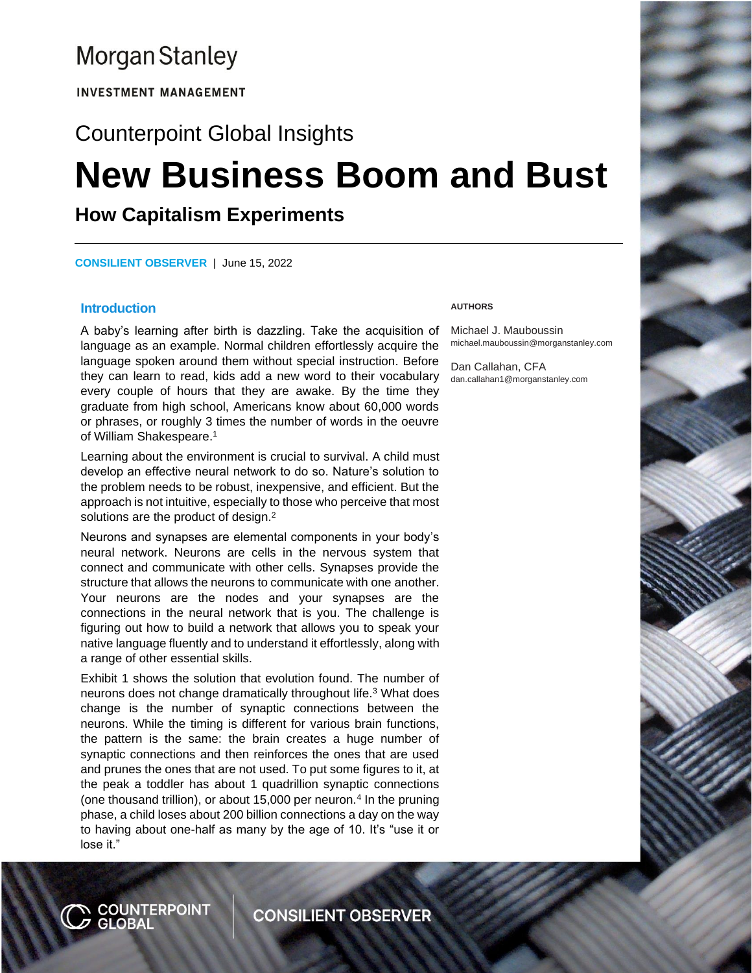# **Morgan Stanley**

**INVESTMENT MANAGEMENT** 

# Counterpoint Global Insights

# **New Business Boom and Bust**

# **How Capitalism Experiments**

**CONSILIENT OBSERVER** | June 15, 2022

#### **Introduction**

A baby's learning after birth is dazzling. Take the acquisition of language as an example. Normal children effortlessly acquire the language spoken around them without special instruction. Before they can learn to read, kids add a new word to their vocabulary every couple of hours that they are awake. By the time they graduate from high school, Americans know about 60,000 words or phrases, or roughly 3 times the number of words in the oeuvre of William Shakespeare.<sup>1</sup>

Learning about the environment is crucial to survival. A child must develop an effective neural network to do so. Nature's solution to the problem needs to be robust, inexpensive, and efficient. But the approach is not intuitive, especially to those who perceive that most solutions are the product of design.<sup>2</sup>

Neurons and synapses are elemental components in your body's neural network. Neurons are cells in the nervous system that connect and communicate with other cells. Synapses provide the structure that allows the neurons to communicate with one another. Your neurons are the nodes and your synapses are the connections in the neural network that is you. The challenge is figuring out how to build a network that allows you to speak your native language fluently and to understand it effortlessly, along with a range of other essential skills.

Exhibit 1 shows the solution that evolution found. The number of neurons does not change dramatically throughout life.<sup>3</sup> What does change is the number of synaptic connections between the neurons. While the timing is different for various brain functions, the pattern is the same: the brain creates a huge number of synaptic connections and then reinforces the ones that are used and prunes the ones that are not used. To put some figures to it, at the peak a toddler has about 1 quadrillion synaptic connections (one thousand trillion), or about  $15,000$  per neuron.<sup>4</sup> In the pruning phase, a child loses about 200 billion connections a day on the way to having about one-half as many by the age of 10. It's "use it or lose it."

#### **AUTHORS**

Michael J. Mauboussin michael.mauboussin@morganstanley.com

Dan Callahan, CFA dan.callahan1@morganstanley.com



**CONSILIENT OBSERVER**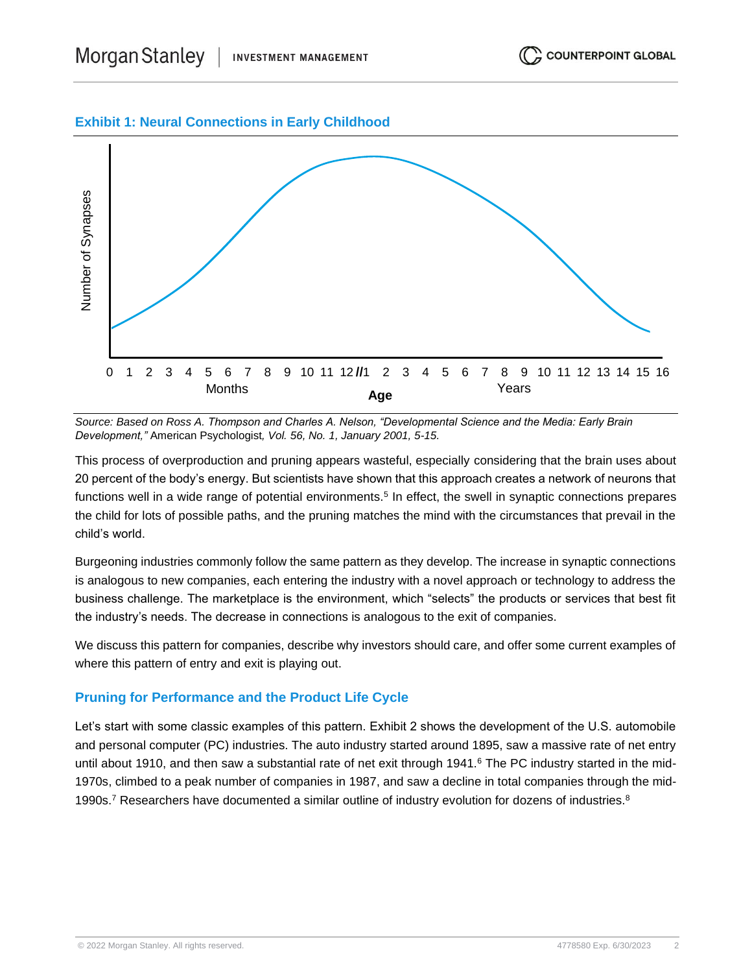# **Exhibit 1: Neural Connections in Early Childhood**



*Source: Based on Ross A. Thompson and Charles A. Nelson, "Developmental Science and the Media: Early Brain Development,"* American Psychologist*, Vol. 56, No. 1, January 2001, 5-15.*

This process of overproduction and pruning appears wasteful, especially considering that the brain uses about 20 percent of the body's energy. But scientists have shown that this approach creates a network of neurons that functions well in a wide range of potential environments.<sup>5</sup> In effect, the swell in synaptic connections prepares the child for lots of possible paths, and the pruning matches the mind with the circumstances that prevail in the child's world.

Burgeoning industries commonly follow the same pattern as they develop. The increase in synaptic connections is analogous to new companies, each entering the industry with a novel approach or technology to address the business challenge. The marketplace is the environment, which "selects" the products or services that best fit the industry's needs. The decrease in connections is analogous to the exit of companies.

We discuss this pattern for companies, describe why investors should care, and offer some current examples of where this pattern of entry and exit is playing out.

# **Pruning for Performance and the Product Life Cycle**

Let's start with some classic examples of this pattern. Exhibit 2 shows the development of the U.S. automobile and personal computer (PC) industries. The auto industry started around 1895, saw a massive rate of net entry until about 1910, and then saw a substantial rate of net exit through 1941.<sup>6</sup> The PC industry started in the mid-1970s, climbed to a peak number of companies in 1987, and saw a decline in total companies through the mid-1990s.<sup>7</sup> Researchers have documented a similar outline of industry evolution for dozens of industries.<sup>8</sup>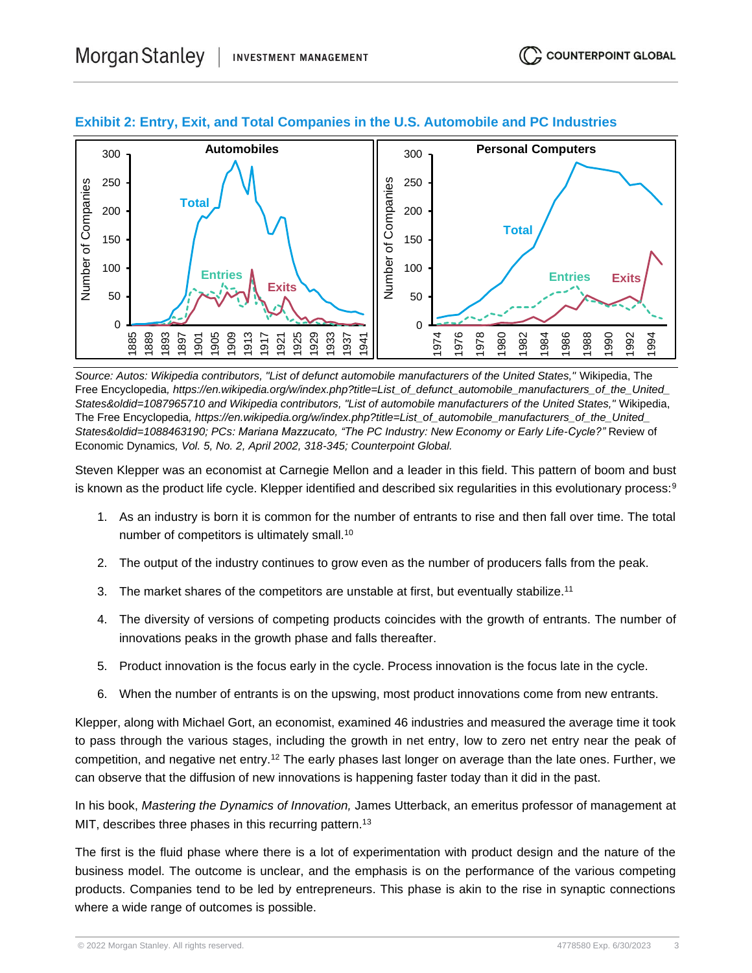

# **Exhibit 2: Entry, Exit, and Total Companies in the U.S. Automobile and PC Industries**

*Source: Autos: Wikipedia contributors, "List of defunct automobile manufacturers of the United States,"* Wikipedia, The Free Encyclopedia*, https://en.wikipedia.org/w/index.php?title=List\_of\_defunct\_automobile\_manufacturers\_of\_the\_United\_ States&oldid=1087965710 and Wikipedia contributors, "List of automobile manufacturers of the United States,"* Wikipedia, The Free Encyclopedia*, https://en.wikipedia.org/w/index.php?title=List\_of\_automobile\_manufacturers\_of\_the\_United\_* States&oldid=1088463190; PCs: Mariana Mazzucato, "The PC Industry: New Economy or Early Life-Cycle?" Review of Economic Dynamics*, Vol. 5, No. 2, April 2002, 318-345; Counterpoint Global.*

Steven Klepper was an economist at Carnegie Mellon and a leader in this field. This pattern of boom and bust is known as the product life cycle. Klepper identified and described six regularities in this evolutionary process:<sup>9</sup>

- 1. As an industry is born it is common for the number of entrants to rise and then fall over time. The total number of competitors is ultimately small.<sup>10</sup>
- 2. The output of the industry continues to grow even as the number of producers falls from the peak.
- 3. The market shares of the competitors are unstable at first, but eventually stabilize.<sup>11</sup>
- 4. The diversity of versions of competing products coincides with the growth of entrants. The number of innovations peaks in the growth phase and falls thereafter.
- 5. Product innovation is the focus early in the cycle. Process innovation is the focus late in the cycle.
- 6. When the number of entrants is on the upswing, most product innovations come from new entrants.

Klepper, along with Michael Gort, an economist, examined 46 industries and measured the average time it took to pass through the various stages, including the growth in net entry, low to zero net entry near the peak of competition, and negative net entry.<sup>12</sup> The early phases last longer on average than the late ones. Further, we can observe that the diffusion of new innovations is happening faster today than it did in the past.

In his book, *Mastering the Dynamics of Innovation,* James Utterback, an emeritus professor of management at MIT, describes three phases in this recurring pattern.<sup>13</sup>

The first is the fluid phase where there is a lot of experimentation with product design and the nature of the business model. The outcome is unclear, and the emphasis is on the performance of the various competing products. Companies tend to be led by entrepreneurs. This phase is akin to the rise in synaptic connections where a wide range of outcomes is possible.

© 2022 Morgan Stanley. All rights reserved. 4778580 Exp. 6/30/2023 3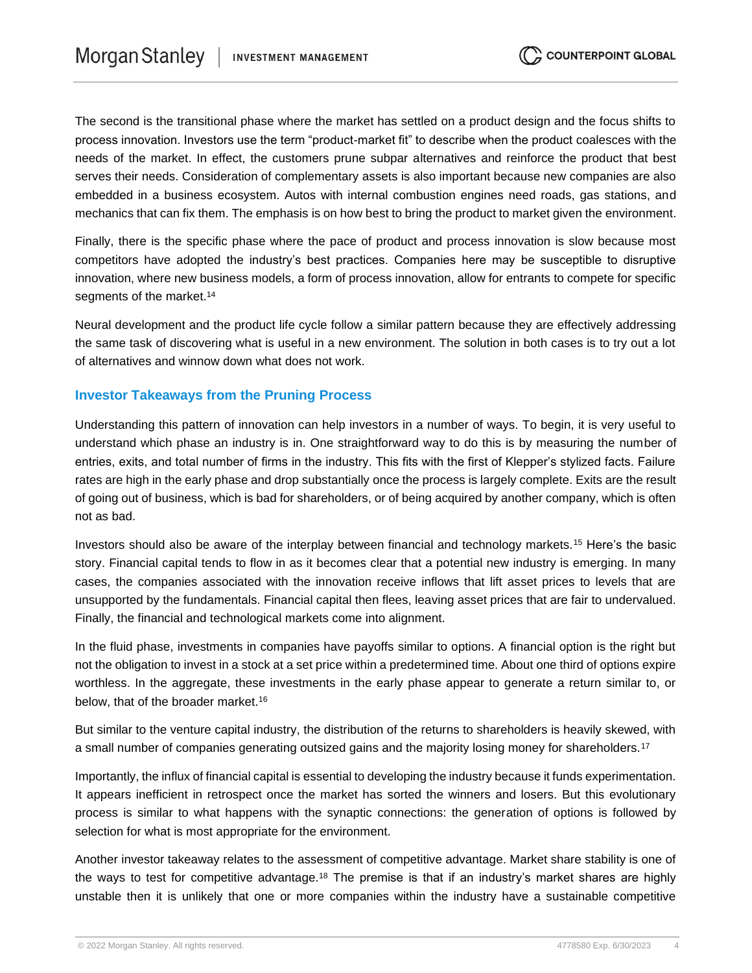The second is the transitional phase where the market has settled on a product design and the focus shifts to process innovation. Investors use the term "product-market fit" to describe when the product coalesces with the needs of the market. In effect, the customers prune subpar alternatives and reinforce the product that best serves their needs. Consideration of complementary assets is also important because new companies are also embedded in a business ecosystem. Autos with internal combustion engines need roads, gas stations, and mechanics that can fix them. The emphasis is on how best to bring the product to market given the environment.

Finally, there is the specific phase where the pace of product and process innovation is slow because most competitors have adopted the industry's best practices. Companies here may be susceptible to disruptive innovation, where new business models, a form of process innovation, allow for entrants to compete for specific segments of the market.<sup>14</sup>

Neural development and the product life cycle follow a similar pattern because they are effectively addressing the same task of discovering what is useful in a new environment. The solution in both cases is to try out a lot of alternatives and winnow down what does not work.

#### **Investor Takeaways from the Pruning Process**

Understanding this pattern of innovation can help investors in a number of ways. To begin, it is very useful to understand which phase an industry is in. One straightforward way to do this is by measuring the number of entries, exits, and total number of firms in the industry. This fits with the first of Klepper's stylized facts. Failure rates are high in the early phase and drop substantially once the process is largely complete. Exits are the result of going out of business, which is bad for shareholders, or of being acquired by another company, which is often not as bad.

Investors should also be aware of the interplay between financial and technology markets.<sup>15</sup> Here's the basic story. Financial capital tends to flow in as it becomes clear that a potential new industry is emerging. In many cases, the companies associated with the innovation receive inflows that lift asset prices to levels that are unsupported by the fundamentals. Financial capital then flees, leaving asset prices that are fair to undervalued. Finally, the financial and technological markets come into alignment.

In the fluid phase, investments in companies have payoffs similar to options. A financial option is the right but not the obligation to invest in a stock at a set price within a predetermined time. About one third of options expire worthless. In the aggregate, these investments in the early phase appear to generate a return similar to, or below, that of the broader market.<sup>16</sup>

But similar to the venture capital industry, the distribution of the returns to shareholders is heavily skewed, with a small number of companies generating outsized gains and the majority losing money for shareholders.<sup>17</sup>

Importantly, the influx of financial capital is essential to developing the industry because it funds experimentation. It appears inefficient in retrospect once the market has sorted the winners and losers. But this evolutionary process is similar to what happens with the synaptic connections: the generation of options is followed by selection for what is most appropriate for the environment.

Another investor takeaway relates to the assessment of competitive advantage. Market share stability is one of the ways to test for competitive advantage.<sup>18</sup> The premise is that if an industry's market shares are highly unstable then it is unlikely that one or more companies within the industry have a sustainable competitive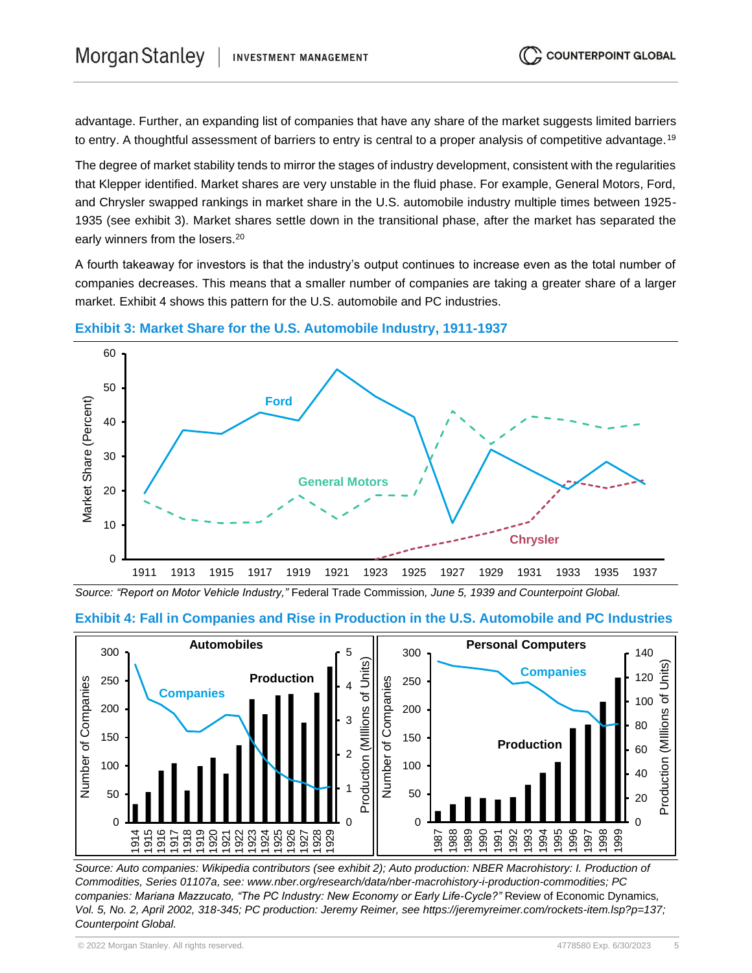advantage. Further, an expanding list of companies that have any share of the market suggests limited barriers to entry. A thoughtful assessment of barriers to entry is central to a proper analysis of competitive advantage.<sup>19</sup>

The degree of market stability tends to mirror the stages of industry development, consistent with the regularities that Klepper identified. Market shares are very unstable in the fluid phase. For example, General Motors, Ford, and Chrysler swapped rankings in market share in the U.S. automobile industry multiple times between 1925- 1935 (see exhibit 3). Market shares settle down in the transitional phase, after the market has separated the early winners from the losers.<sup>20</sup>

A fourth takeaway for investors is that the industry's output continues to increase even as the total number of companies decreases. This means that a smaller number of companies are taking a greater share of a larger market. Exhibit 4 shows this pattern for the U.S. automobile and PC industries.



**Exhibit 3: Market Share for the U.S. Automobile Industry, 1911-1937**

*Source: "Report on Motor Vehicle Industry,"* Federal Trade Commission*, June 5, 1939 and Counterpoint Global.*



**Exhibit 4: Fall in Companies and Rise in Production in the U.S. Automobile and PC Industries**

*Source: Auto companies: Wikipedia contributors (see exhibit 2); Auto production: NBER Macrohistory: I. Production of Commodities, Series 01107a, see: www.nber.org/research/data/nber-macrohistory-i-production-commodities; PC companies: Mariana Mazzucato, "The PC Industry: New Economy or Early Life-Cycle?"* Review of Economic Dynamics*, Vol. 5, No. 2, April 2002, 318-345; PC production: Jeremy Reimer, see https://jeremyreimer.com/rockets-item.lsp?p=137; Counterpoint Global.*

**COUNTERPOINT GLOBAL**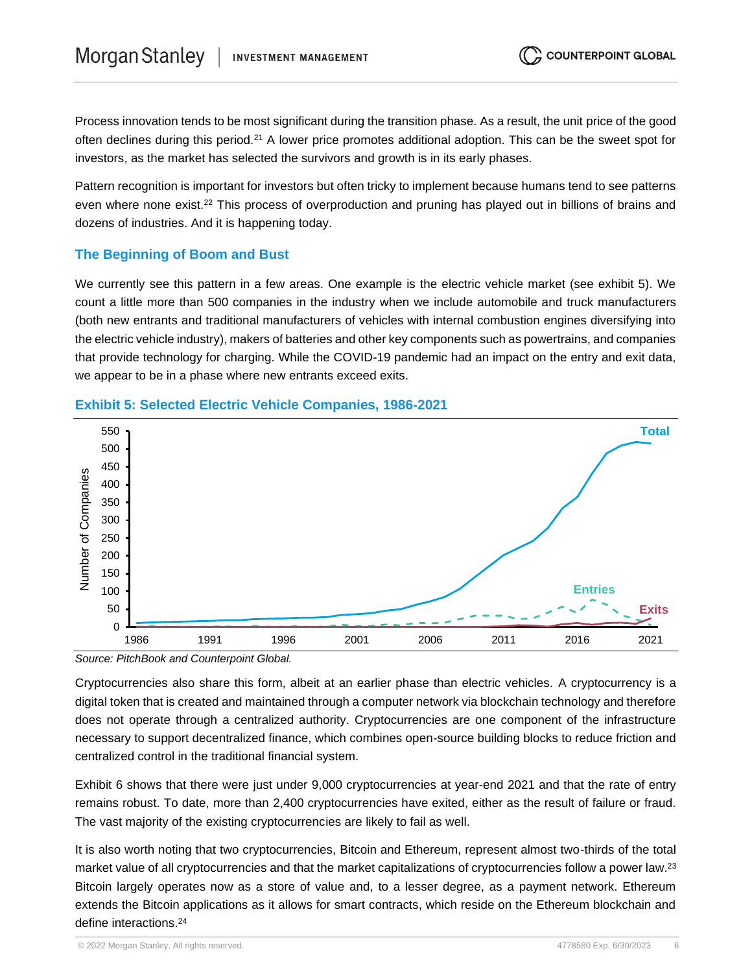Process innovation tends to be most significant during the transition phase. As a result, the unit price of the good often declines during this period.<sup>21</sup> A lower price promotes additional adoption. This can be the sweet spot for investors, as the market has selected the survivors and growth is in its early phases.

Pattern recognition is important for investors but often tricky to implement because humans tend to see patterns even where none exist.<sup>22</sup> This process of overproduction and pruning has played out in billions of brains and dozens of industries. And it is happening today.

# **The Beginning of Boom and Bust**

We currently see this pattern in a few areas. One example is the electric vehicle market (see exhibit 5). We count a little more than 500 companies in the industry when we include automobile and truck manufacturers (both new entrants and traditional manufacturers of vehicles with internal combustion engines diversifying into the electric vehicle industry), makers of batteries and other key components such as powertrains, and companies that provide technology for charging. While the COVID-19 pandemic had an impact on the entry and exit data, we appear to be in a phase where new entrants exceed exits.



# **Exhibit 5: Selected Electric Vehicle Companies, 1986-2021**

*Source: PitchBook and Counterpoint Global.*

Cryptocurrencies also share this form, albeit at an earlier phase than electric vehicles. A cryptocurrency is a digital token that is created and maintained through a computer network via blockchain technology and therefore does not operate through a centralized authority. Cryptocurrencies are one component of the infrastructure necessary to support decentralized finance, which combines open-source building blocks to reduce friction and centralized control in the traditional financial system.

Exhibit 6 shows that there were just under 9,000 cryptocurrencies at year-end 2021 and that the rate of entry remains robust. To date, more than 2,400 cryptocurrencies have exited, either as the result of failure or fraud. The vast majority of the existing cryptocurrencies are likely to fail as well.

It is also worth noting that two cryptocurrencies, Bitcoin and Ethereum, represent almost two-thirds of the total market value of all cryptocurrencies and that the market capitalizations of cryptocurrencies follow a power law.<sup>23</sup> Bitcoin largely operates now as a store of value and, to a lesser degree, as a payment network. Ethereum extends the Bitcoin applications as it allows for smart contracts, which reside on the Ethereum blockchain and define interactions.<sup>24</sup>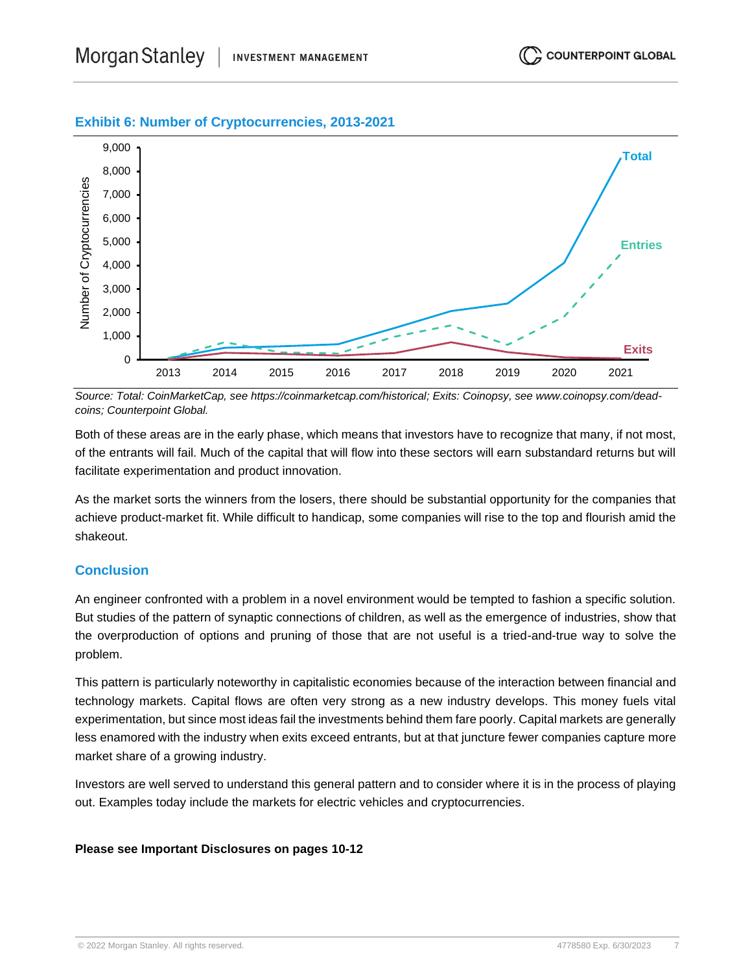## **Exhibit 6: Number of Cryptocurrencies, 2013-2021**



*Source: Total: CoinMarketCap, see https://coinmarketcap.com/historical; Exits: Coinopsy, see www.coinopsy.com/deadcoins; Counterpoint Global.*

Both of these areas are in the early phase, which means that investors have to recognize that many, if not most, of the entrants will fail. Much of the capital that will flow into these sectors will earn substandard returns but will facilitate experimentation and product innovation.

As the market sorts the winners from the losers, there should be substantial opportunity for the companies that achieve product-market fit. While difficult to handicap, some companies will rise to the top and flourish amid the shakeout.

### **Conclusion**

An engineer confronted with a problem in a novel environment would be tempted to fashion a specific solution. But studies of the pattern of synaptic connections of children, as well as the emergence of industries, show that the overproduction of options and pruning of those that are not useful is a tried-and-true way to solve the problem.

This pattern is particularly noteworthy in capitalistic economies because of the interaction between financial and technology markets. Capital flows are often very strong as a new industry develops. This money fuels vital experimentation, but since most ideas fail the investments behind them fare poorly. Capital markets are generally less enamored with the industry when exits exceed entrants, but at that juncture fewer companies capture more market share of a growing industry.

Investors are well served to understand this general pattern and to consider where it is in the process of playing out. Examples today include the markets for electric vehicles and cryptocurrencies.

#### **Please see Important Disclosures on pages 10-12**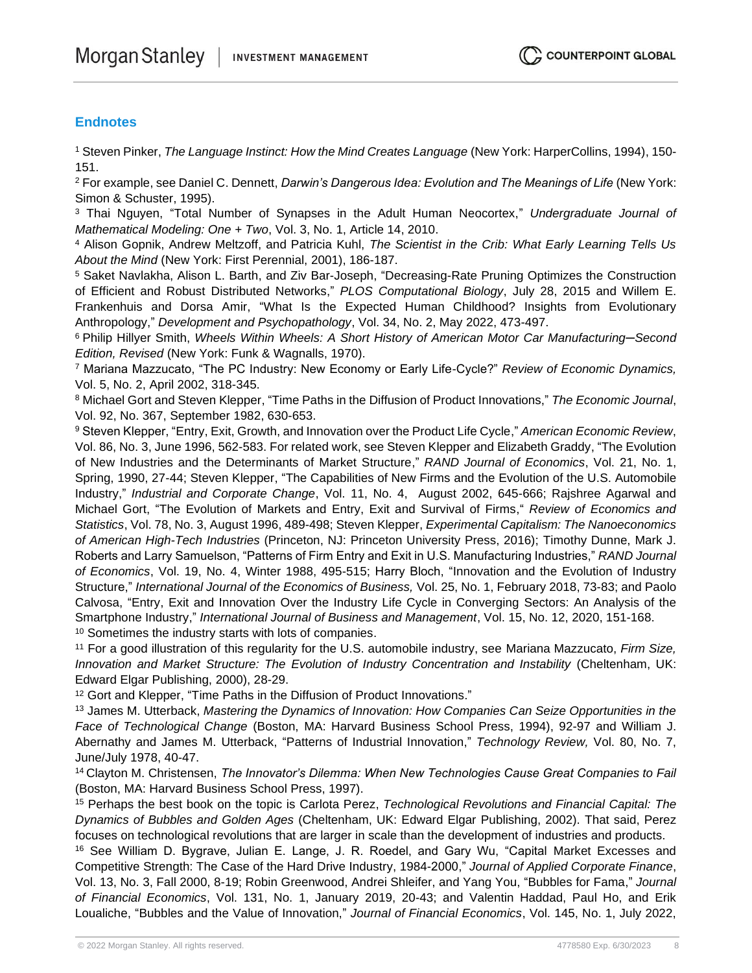## **Endnotes**

<sup>1</sup> Steven Pinker, *The Language Instinct: How the Mind Creates Language* (New York: HarperCollins, 1994), 150- 151.

<sup>2</sup> For example, see Daniel C. Dennett, *Darwin's Dangerous Idea: Evolution and The Meanings of Life* (New York: Simon & Schuster, 1995).

<sup>3</sup> Thai Nguyen, "Total Number of Synapses in the Adult Human Neocortex," *Undergraduate Journal of Mathematical Modeling: One + Two*, Vol. 3, No. 1, Article 14, 2010.

<sup>4</sup> Alison Gopnik, Andrew Meltzoff, and Patricia Kuhl, *The Scientist in the Crib: What Early Learning Tells Us About the Mind* (New York: First Perennial, 2001), 186-187.

<sup>5</sup> Saket Navlakha, Alison L. Barth, and Ziv Bar-Joseph, "Decreasing-Rate Pruning Optimizes the Construction of Efficient and Robust Distributed Networks," *PLOS Computational Biology*, July 28, 2015 and Willem E. Frankenhuis and Dorsa Amir, "What Is the Expected Human Childhood? Insights from Evolutionary Anthropology," *Development and Psychopathology*, Vol. 34, No. 2, May 2022, 473-497.

<sup>6</sup> Philip Hillyer Smith, *Wheels Within Wheels: A Short History of American Motor Car Manufacturing─Second Edition, Revised* (New York: Funk & Wagnalls, 1970).

<sup>7</sup> Mariana Mazzucato, "The PC Industry: New Economy or Early Life-Cycle?" *Review of Economic Dynamics,*  Vol. 5, No. 2, April 2002, 318-345.

<sup>8</sup> Michael Gort and Steven Klepper, "Time Paths in the Diffusion of Product Innovations," *The Economic Journal*, Vol. 92, No. 367, September 1982, 630-653.

<sup>9</sup> Steven Klepper, "Entry, Exit, Growth, and Innovation over the Product Life Cycle," *American Economic Review*, Vol. 86, No. 3, June 1996, 562-583. For related work, see Steven Klepper and Elizabeth Graddy, "The Evolution of New Industries and the Determinants of Market Structure," *RAND Journal of Economics*, Vol. 21, No. 1, Spring, 1990, 27-44; Steven Klepper, "The Capabilities of New Firms and the Evolution of the U.S. Automobile Industry," *Industrial and Corporate Change*, Vol. 11, No. 4, August 2002, 645-666; Rajshree Agarwal and Michael Gort, "The Evolution of Markets and Entry, Exit and Survival of Firms," *Review of Economics and Statistics*, Vol. 78, No. 3, August 1996, 489-498; Steven Klepper, *Experimental Capitalism: The Nanoeconomics of American High-Tech Industries* (Princeton, NJ: Princeton University Press, 2016); Timothy Dunne, Mark J. Roberts and Larry Samuelson, "Patterns of Firm Entry and Exit in U.S. Manufacturing Industries," *RAND Journal of Economics*, Vol. 19, No. 4, Winter 1988, 495-515; Harry Bloch, "Innovation and the Evolution of Industry Structure," *International Journal of the Economics of Business,* Vol. 25, No. 1, February 2018, 73-83; and Paolo Calvosa, "Entry, Exit and Innovation Over the Industry Life Cycle in Converging Sectors: An Analysis of the Smartphone Industry," *International Journal of Business and Management*, Vol. 15, No. 12, 2020, 151-168. <sup>10</sup> Sometimes the industry starts with lots of companies.

<sup>11</sup> For a good illustration of this regularity for the U.S. automobile industry, see Mariana Mazzucato, *Firm Size,*  Innovation and Market Structure: The Evolution of Industry Concentration and Instability (Cheltenham, UK: Edward Elgar Publishing, 2000), 28-29.

<sup>12</sup> Gort and Klepper, "Time Paths in the Diffusion of Product Innovations."

<sup>13</sup> James M. Utterback, *Mastering the Dynamics of Innovation: How Companies Can Seize Opportunities in the Face of Technological Change* (Boston, MA: Harvard Business School Press, 1994), 92-97 and William J. Abernathy and James M. Utterback, "Patterns of Industrial Innovation," *Technology Review,* Vol. 80, No. 7, June/July 1978, 40-47.

<sup>14</sup> Clayton M. Christensen, *The Innovator's Dilemma: When New Technologies Cause Great Companies to Fail* (Boston, MA: Harvard Business School Press, 1997).

<sup>15</sup> Perhaps the best book on the topic is Carlota Perez, *Technological Revolutions and Financial Capital: The Dynamics of Bubbles and Golden Ages* (Cheltenham, UK: Edward Elgar Publishing, 2002). That said, Perez focuses on technological revolutions that are larger in scale than the development of industries and products.

<sup>16</sup> See William D. Bygrave, Julian E. Lange, J. R. Roedel, and Gary Wu, "Capital Market Excesses and Competitive Strength: The Case of the Hard Drive Industry, 1984-2000," *Journal of Applied Corporate Finance*, Vol. 13, No. 3, Fall 2000, 8-19; Robin Greenwood, Andrei Shleifer, and Yang You, "Bubbles for Fama," *Journal of Financial Economics*, Vol. 131, No. 1, January 2019, 20-43; and Valentin Haddad, Paul Ho, and Erik Loualiche, "Bubbles and the Value of Innovation," *Journal of Financial Economics*, Vol. 145, No. 1, July 2022,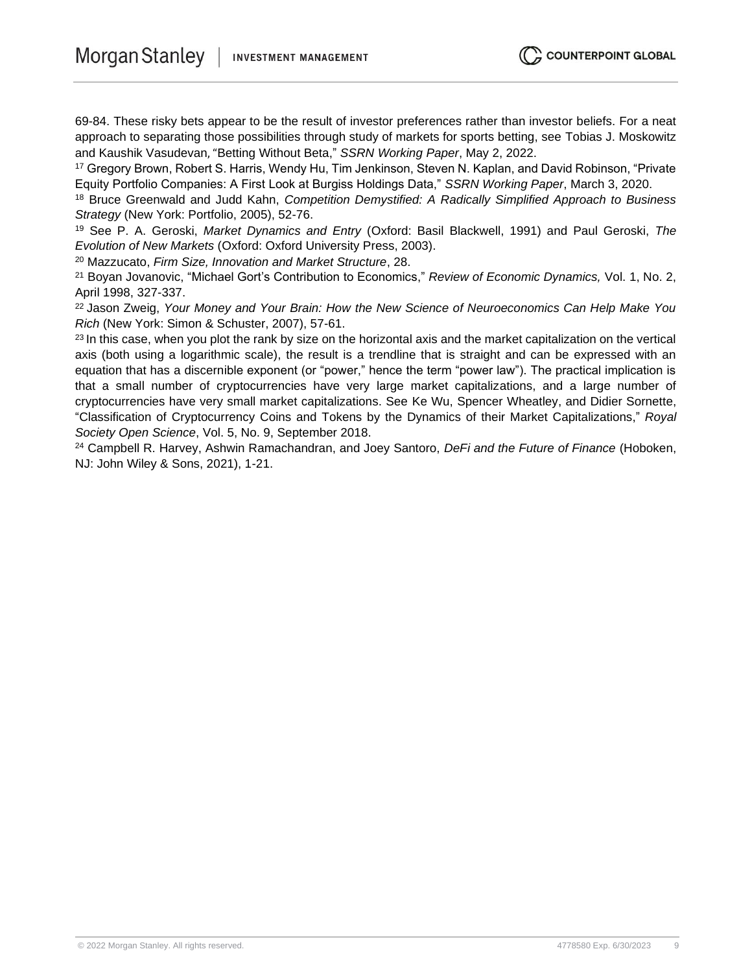69-84. These risky bets appear to be the result of investor preferences rather than investor beliefs. For a neat approach to separating those possibilities through study of markets for sports betting, see Tobias J. Moskowitz and Kaushik Vasudevan, "Betting Without Beta," *SSRN Working Paper*, May 2, 2022.

<sup>17</sup> Gregory Brown, Robert S. Harris, Wendy Hu, Tim Jenkinson, Steven N. Kaplan, and David Robinson, "Private Equity Portfolio Companies: A First Look at Burgiss Holdings Data," *SSRN Working Paper*, March 3, 2020.

<sup>18</sup> Bruce Greenwald and Judd Kahn, *Competition Demystified: A Radically Simplified Approach to Business Strategy* (New York: Portfolio, 2005), 52-76.

<sup>19</sup> See P. A. Geroski, *Market Dynamics and Entry* (Oxford: Basil Blackwell, 1991) and Paul Geroski, *The Evolution of New Markets* (Oxford: Oxford University Press, 2003).

<sup>20</sup> Mazzucato, *Firm Size, Innovation and Market Structure*, 28.

<sup>21</sup> Boyan Jovanovic, "Michael Gort's Contribution to Economics," *Review of Economic Dynamics,* Vol. 1, No. 2, April 1998, 327-337.

<sup>22</sup> Jason Zweig, *Your Money and Your Brain: How the New Science of Neuroeconomics Can Help Make You Rich* (New York: Simon & Schuster, 2007), 57-61.

 $23$  In this case, when you plot the rank by size on the horizontal axis and the market capitalization on the vertical axis (both using a logarithmic scale), the result is a trendline that is straight and can be expressed with an equation that has a discernible exponent (or "power," hence the term "power law"). The practical implication is that a small number of cryptocurrencies have very large market capitalizations, and a large number of cryptocurrencies have very small market capitalizations. See Ke Wu, Spencer Wheatley, and Didier Sornette, "Classification of Cryptocurrency Coins and Tokens by the Dynamics of their Market Capitalizations," *Royal Society Open Science*, Vol. 5, No. 9, September 2018.

<sup>24</sup> Campbell R. Harvey, Ashwin Ramachandran, and Joey Santoro, *DeFi and the Future of Finance* (Hoboken, NJ: John Wiley & Sons, 2021), 1-21.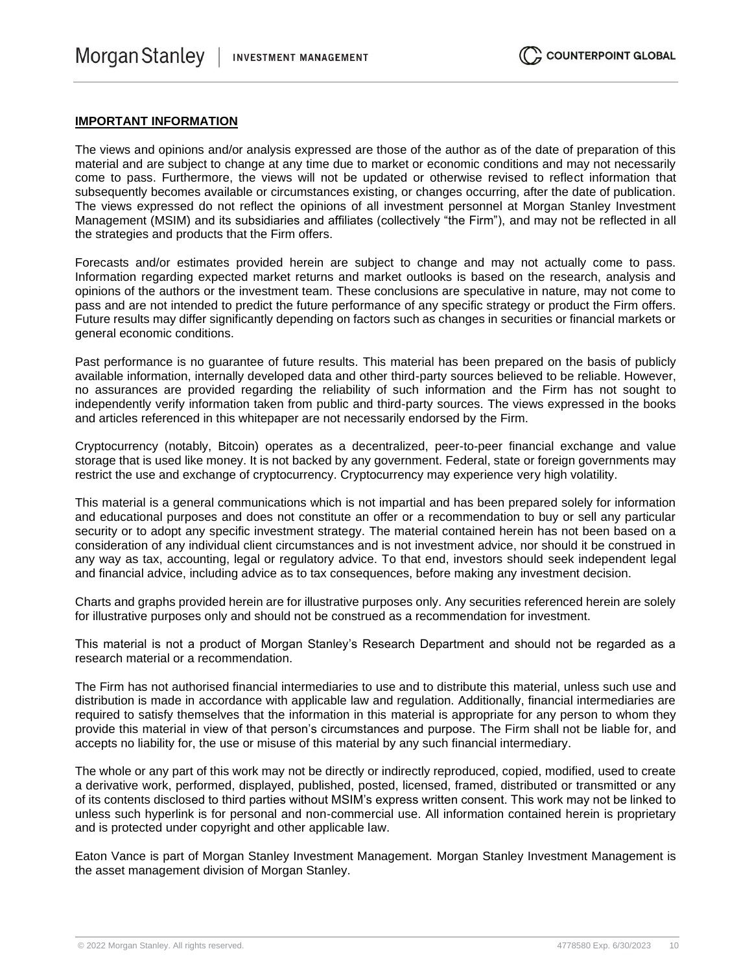#### **IMPORTANT INFORMATION**

The views and opinions and/or analysis expressed are those of the author as of the date of preparation of this material and are subject to change at any time due to market or economic conditions and may not necessarily come to pass. Furthermore, the views will not be updated or otherwise revised to reflect information that subsequently becomes available or circumstances existing, or changes occurring, after the date of publication. The views expressed do not reflect the opinions of all investment personnel at Morgan Stanley Investment Management (MSIM) and its subsidiaries and affiliates (collectively "the Firm"), and may not be reflected in all the strategies and products that the Firm offers.

Forecasts and/or estimates provided herein are subject to change and may not actually come to pass. Information regarding expected market returns and market outlooks is based on the research, analysis and opinions of the authors or the investment team. These conclusions are speculative in nature, may not come to pass and are not intended to predict the future performance of any specific strategy or product the Firm offers. Future results may differ significantly depending on factors such as changes in securities or financial markets or general economic conditions.

Past performance is no guarantee of future results. This material has been prepared on the basis of publicly available information, internally developed data and other third-party sources believed to be reliable. However, no assurances are provided regarding the reliability of such information and the Firm has not sought to independently verify information taken from public and third-party sources. The views expressed in the books and articles referenced in this whitepaper are not necessarily endorsed by the Firm.

Cryptocurrency (notably, Bitcoin) operates as a decentralized, peer-to-peer financial exchange and value storage that is used like money. It is not backed by any government. Federal, state or foreign governments may restrict the use and exchange of cryptocurrency. Cryptocurrency may experience very high volatility.

This material is a general communications which is not impartial and has been prepared solely for information and educational purposes and does not constitute an offer or a recommendation to buy or sell any particular security or to adopt any specific investment strategy. The material contained herein has not been based on a consideration of any individual client circumstances and is not investment advice, nor should it be construed in any way as tax, accounting, legal or regulatory advice. To that end, investors should seek independent legal and financial advice, including advice as to tax consequences, before making any investment decision.

Charts and graphs provided herein are for illustrative purposes only. Any securities referenced herein are solely for illustrative purposes only and should not be construed as a recommendation for investment.

This material is not a product of Morgan Stanley's Research Department and should not be regarded as a research material or a recommendation.

The Firm has not authorised financial intermediaries to use and to distribute this material, unless such use and distribution is made in accordance with applicable law and regulation. Additionally, financial intermediaries are required to satisfy themselves that the information in this material is appropriate for any person to whom they provide this material in view of that person's circumstances and purpose. The Firm shall not be liable for, and accepts no liability for, the use or misuse of this material by any such financial intermediary.

The whole or any part of this work may not be directly or indirectly reproduced, copied, modified, used to create a derivative work, performed, displayed, published, posted, licensed, framed, distributed or transmitted or any of its contents disclosed to third parties without MSIM's express written consent. This work may not be linked to unless such hyperlink is for personal and non-commercial use. All information contained herein is proprietary and is protected under copyright and other applicable law.

Eaton Vance is part of Morgan Stanley Investment Management. Morgan Stanley Investment Management is the asset management division of Morgan Stanley.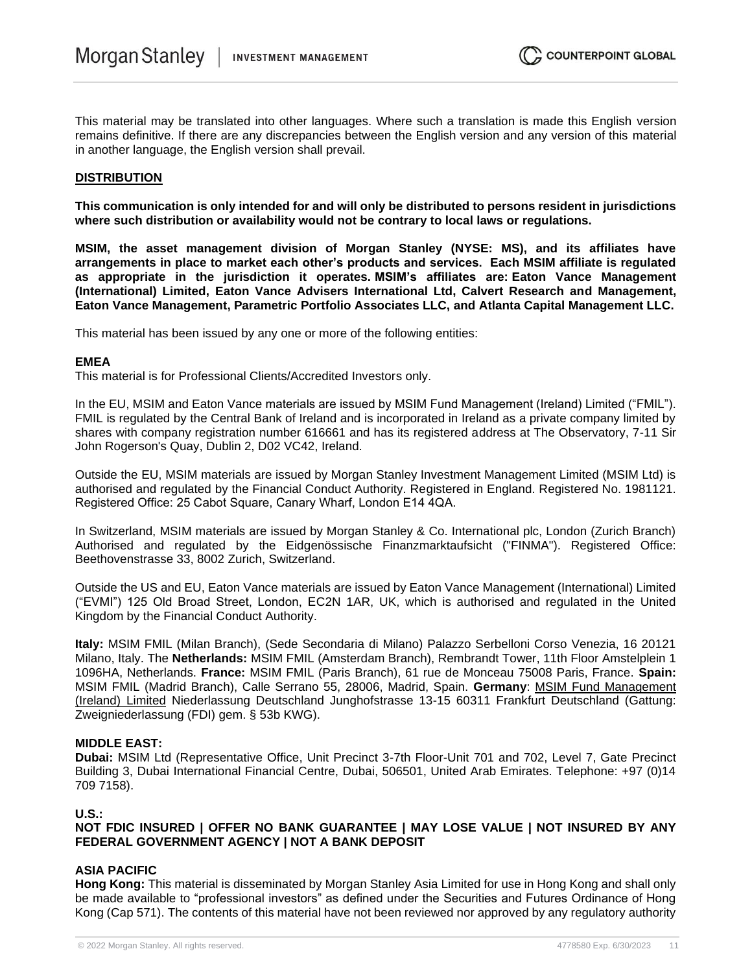This material may be translated into other languages. Where such a translation is made this English version remains definitive. If there are any discrepancies between the English version and any version of this material in another language, the English version shall prevail.

#### **DISTRIBUTION**

**This communication is only intended for and will only be distributed to persons resident in jurisdictions where such distribution or availability would not be contrary to local laws or regulations.**

**MSIM, the asset management division of Morgan Stanley (NYSE: MS), and its affiliates have arrangements in place to market each other's products and services. Each MSIM affiliate is regulated as appropriate in the jurisdiction it operates. MSIM's affiliates are: Eaton Vance Management (International) Limited, Eaton Vance Advisers International Ltd, Calvert Research and Management, Eaton Vance Management, Parametric Portfolio Associates LLC, and Atlanta Capital Management LLC.**

This material has been issued by any one or more of the following entities:

#### **EMEA**

This material is for Professional Clients/Accredited Investors only.

In the EU, MSIM and Eaton Vance materials are issued by MSIM Fund Management (Ireland) Limited ("FMIL"). FMIL is regulated by the Central Bank of Ireland and is incorporated in Ireland as a private company limited by shares with company registration number 616661 and has its registered address at The Observatory, 7-11 Sir John Rogerson's Quay, Dublin 2, D02 VC42, Ireland.

Outside the EU, MSIM materials are issued by Morgan Stanley Investment Management Limited (MSIM Ltd) is authorised and regulated by the Financial Conduct Authority. Registered in England. Registered No. 1981121. Registered Office: 25 Cabot Square, Canary Wharf, London E14 4QA.

In Switzerland, MSIM materials are issued by Morgan Stanley & Co. International plc, London (Zurich Branch) Authorised and regulated by the Eidgenössische Finanzmarktaufsicht ("FINMA"). Registered Office: Beethovenstrasse 33, 8002 Zurich, Switzerland.

Outside the US and EU, Eaton Vance materials are issued by Eaton Vance Management (International) Limited ("EVMI") 125 Old Broad Street, London, EC2N 1AR, UK, which is authorised and regulated in the United Kingdom by the Financial Conduct Authority.

**Italy:** MSIM FMIL (Milan Branch), (Sede Secondaria di Milano) Palazzo Serbelloni Corso Venezia, 16 20121 Milano, Italy. The **Netherlands:** MSIM FMIL (Amsterdam Branch), Rembrandt Tower, 11th Floor Amstelplein 1 1096HA, Netherlands. **France:** MSIM FMIL (Paris Branch), 61 rue de Monceau 75008 Paris, France. **Spain:**  MSIM FMIL (Madrid Branch), Calle Serrano 55, 28006, Madrid, Spain. **Germany**: MSIM Fund Management (Ireland) Limited Niederlassung Deutschland Junghofstrasse 13-15 60311 Frankfurt Deutschland (Gattung: Zweigniederlassung (FDI) gem. § 53b KWG).

#### **MIDDLE EAST:**

**Dubai:** MSIM Ltd (Representative Office, Unit Precinct 3-7th Floor-Unit 701 and 702, Level 7, Gate Precinct Building 3, Dubai International Financial Centre, Dubai, 506501, United Arab Emirates. Telephone: +97 (0)14 709 7158).

#### **U.S.:**

**NOT FDIC INSURED | OFFER NO BANK GUARANTEE | MAY LOSE VALUE | NOT INSURED BY ANY FEDERAL GOVERNMENT AGENCY | NOT A BANK DEPOSIT**

#### **ASIA PACIFIC**

**Hong Kong:** This material is disseminated by Morgan Stanley Asia Limited for use in Hong Kong and shall only be made available to "professional investors" as defined under the Securities and Futures Ordinance of Hong Kong (Cap 571). The contents of this material have not been reviewed nor approved by any regulatory authority